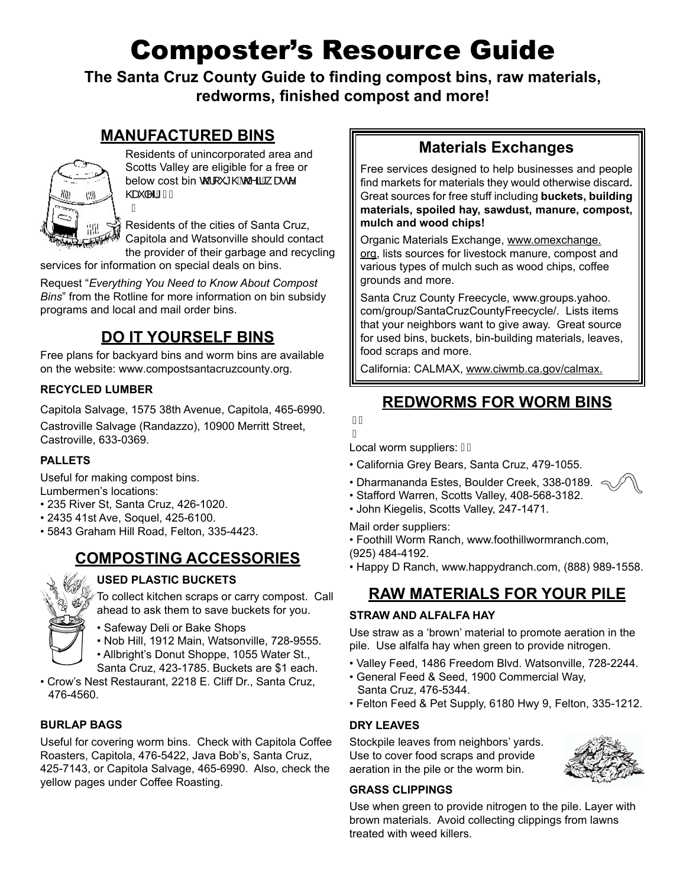# Composter's Resource Guide

**The Santa Cruz County Guide to finding compost bins, raw materials, redworms, finished compost and more!**

### **MANUFACTURED BINS**



Residents of unincorporated area and Scotts Valley are eligible for a free or below cost bin  $\mathbb{Q}$ [<sup>x</sup>  $\mathbb{Q}$ **k** $\mathbb{Q}$  aA  $\mathbb{Z}$   $\mathbb{C}$ <sup>*N*</sup> @eĕ|^¦ÈÁÁ Á

Residents of the cities of Santa Cruz, Capitola and Watsonville should contact the provider of their garbage and recycling

services for information on special deals on bins.

Request "*Everything You Need to Know About Compost Bins*" from the Rotline for more information on bin subsidy programs and local and mail order bins.

### **DO IT YOURSELF BINS**

Free plans for backyard bins and worm bins are available on the website: www.compostsantacruzcounty.org.

### **RECYCLED LUMBER**

Capitola Salvage, 1575 38th Avenue, Capitola, 465-6990. Castroville Salvage (Randazzo), 10900 Merritt Street, Castroville, 633-0369.

### **PALLETS**

Useful for making compost bins.

Lumbermen's locations:

- 235 River St, Santa Cruz, 426-1020.
- 2435 41st Ave, Soquel, 425-6100.
- 5843 Graham Hill Road, Felton, 335-4423.

### **COMPOSTING ACCESSORIES**



### **USED PLASTIC BUCKETS**

To collect kitchen scraps or carry compost. Call ahead to ask them to save buckets for you.

- Safeway Deli or Bake Shops
- Nob Hill, 1912 Main, Watsonville, 728-9555.

• Allbright's Donut Shoppe, 1055 Water St., Santa Cruz, 423-1785. Buckets are \$1 each.

• Crow's Nest Restaurant, 2218 E. Cliff Dr., Santa Cruz, 476-4560.

### **BURLAP BAGS**

Useful for covering worm bins. Check with Capitola Coffee Roasters, Capitola, 476-5422, Java Bob's, Santa Cruz, 425-7143, or Capitola Salvage, 465-6990. Also, check the yellow pages under Coffee Roasting.

## **Materials Exchanges**

Free services designed to help businesses and people find markets for materials they would otherwise discard**.**  Great sources for free stuff including **buckets, building materials, spoiled hay, sawdust, manure, compost, mulch and wood chips!** 

Organic Materials Exchange, www.omexchange. org, lists sources for livestock manure, compost and various types of mulch such as wood chips, coffee grounds and more.

Santa Cruz County Freecycle, www.groups.yahoo. com/group/SantaCruzCountyFreecycle/. Lists items that your neighbors want to give away. Great source for used bins, buckets, bin-building materials, leaves, food scraps and more.

California: CALMAX, www.ciwmb.ca.gov/calmax.

# **REDWORMS FOR WORM BINS**



Local worm suppliers: AA

- California Grey Bears, Santa Cruz, 479-1055.
- Dharmananda Estes, Boulder Creek, 338-0189.  $\leq$
- Stafford Warren, Scotts Valley, 408-568-3182.
- John Kiegelis, Scotts Valley, 247-1471.

Mail order suppliers:

- Foothill Worm Ranch, www.foothillwormranch.com, (925) 484-4192.
- Happy D Ranch, www.happydranch.com, (888) 989-1558.

### **RAW MATERIALS FOR YOUR PILE**

#### **STRAW AND ALFALFA HAY**

Use straw as a 'brown' material to promote aeration in the pile. Use alfalfa hay when green to provide nitrogen.

- Valley Feed, 1486 Freedom Blvd. Watsonville, 728-2244.
- General Feed & Seed, 1900 Commercial Way, Santa Cruz, 476-5344.
- Felton Feed & Pet Supply, 6180 Hwy 9, Felton, 335-1212.

#### **DRY LEAVES**

Stockpile leaves from neighbors' yards. Use to cover food scraps and provide aeration in the pile or the worm bin.



#### **GRASS CLIPPINGS**

Use when green to provide nitrogen to the pile. Layer with brown materials. Avoid collecting clippings from lawns treated with weed killers.